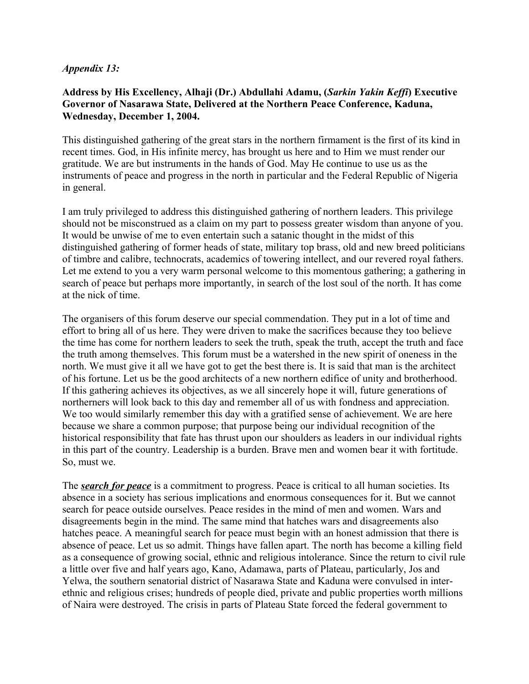## *Appendix 13:*

## **Address by His Excellency, Alhaji (Dr.) Abdullahi Adamu, (***Sarkin Yakin Keffi***) Executive Governor of Nasarawa State, Delivered at the Northern Peace Conference, Kaduna, Wednesday, December 1, 2004.**

This distinguished gathering of the great stars in the northern firmament is the first of its kind in recent times. God, in His infinite mercy, has brought us here and to Him we must render our gratitude. We are but instruments in the hands of God. May He continue to use us as the instruments of peace and progress in the north in particular and the Federal Republic of Nigeria in general.

I am truly privileged to address this distinguished gathering of northern leaders. This privilege should not be misconstrued as a claim on my part to possess greater wisdom than anyone of you. It would be unwise of me to even entertain such a satanic thought in the midst of this distinguished gathering of former heads of state, military top brass, old and new breed politicians of timbre and calibre, technocrats, academics of towering intellect, and our revered royal fathers. Let me extend to you a very warm personal welcome to this momentous gathering; a gathering in search of peace but perhaps more importantly, in search of the lost soul of the north. It has come at the nick of time.

The organisers of this forum deserve our special commendation. They put in a lot of time and effort to bring all of us here. They were driven to make the sacrifices because they too believe the time has come for northern leaders to seek the truth, speak the truth, accept the truth and face the truth among themselves. This forum must be a watershed in the new spirit of oneness in the north. We must give it all we have got to get the best there is. It is said that man is the architect of his fortune. Let us be the good architects of a new northern edifice of unity and brotherhood. If this gathering achieves its objectives, as we all sincerely hope it will, future generations of northerners will look back to this day and remember all of us with fondness and appreciation. We too would similarly remember this day with a gratified sense of achievement. We are here because we share a common purpose; that purpose being our individual recognition of the historical responsibility that fate has thrust upon our shoulders as leaders in our individual rights in this part of the country. Leadership is a burden. Brave men and women bear it with fortitude. So, must we.

The *search for peace* is a commitment to progress. Peace is critical to all human societies. Its absence in a society has serious implications and enormous consequences for it. But we cannot search for peace outside ourselves. Peace resides in the mind of men and women. Wars and disagreements begin in the mind. The same mind that hatches wars and disagreements also hatches peace. A meaningful search for peace must begin with an honest admission that there is absence of peace. Let us so admit. Things have fallen apart. The north has become a killing field as a consequence of growing social, ethnic and religious intolerance. Since the return to civil rule a little over five and half years ago, Kano, Adamawa, parts of Plateau, particularly, Jos and Yelwa, the southern senatorial district of Nasarawa State and Kaduna were convulsed in interethnic and religious crises; hundreds of people died, private and public properties worth millions of Naira were destroyed. The crisis in parts of Plateau State forced the federal government to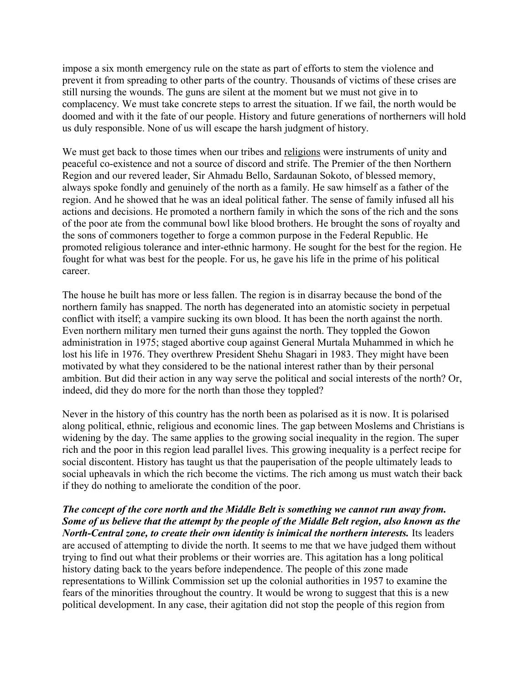impose a six month emergency rule on the state as part of efforts to stem the violence and prevent it from spreading to other parts of the country. Thousands of victims of these crises are still nursing the wounds. The guns are silent at the moment but we must not give in to complacency. We must take concrete steps to arrest the situation. If we fail, the north would be doomed and with it the fate of our people. History and future generations of northerners will hold us duly responsible. None of us will escape the harsh judgment of history.

We must get back to those times when our tribes and religions were instruments of unity and peaceful co-existence and not a source of discord and strife. The Premier of the then Northern Region and our revered leader, Sir Ahmadu Bello, Sardaunan Sokoto, of blessed memory, always spoke fondly and genuinely of the north as a family. He saw himself as a father of the region. And he showed that he was an ideal political father. The sense of family infused all his actions and decisions. He promoted a northern family in which the sons of the rich and the sons of the poor ate from the communal bowl like blood brothers. He brought the sons of royalty and the sons of commoners together to forge a common purpose in the Federal Republic. He promoted religious tolerance and inter-ethnic harmony. He sought for the best for the region. He fought for what was best for the people. For us, he gave his life in the prime of his political career.

The house he built has more or less fallen. The region is in disarray because the bond of the northern family has snapped. The north has degenerated into an atomistic society in perpetual conflict with itself; a vampire sucking its own blood. It has been the north against the north. Even northern military men turned their guns against the north. They toppled the Gowon administration in 1975; staged abortive coup against General Murtala Muhammed in which he lost his life in 1976. They overthrew President Shehu Shagari in 1983. They might have been motivated by what they considered to be the national interest rather than by their personal ambition. But did their action in any way serve the political and social interests of the north? Or, indeed, did they do more for the north than those they toppled?

Never in the history of this country has the north been as polarised as it is now. It is polarised along political, ethnic, religious and economic lines. The gap between Moslems and Christians is widening by the day. The same applies to the growing social inequality in the region. The super rich and the poor in this region lead parallel lives. This growing inequality is a perfect recipe for social discontent. History has taught us that the pauperisation of the people ultimately leads to social upheavals in which the rich become the victims. The rich among us must watch their back if they do nothing to ameliorate the condition of the poor.

*The concept of the core north and the Middle Belt is something we cannot run away from. Some of us believe that the attempt by the people of the Middle Belt region, also known as the North-Central zone, to create their own identity is inimical the northern interests.* Its leaders are accused of attempting to divide the north. It seems to me that we have judged them without trying to find out what their problems or their worries are. This agitation has a long political history dating back to the years before independence. The people of this zone made representations to Willink Commission set up the colonial authorities in 1957 to examine the fears of the minorities throughout the country. It would be wrong to suggest that this is a new political development. In any case, their agitation did not stop the people of this region from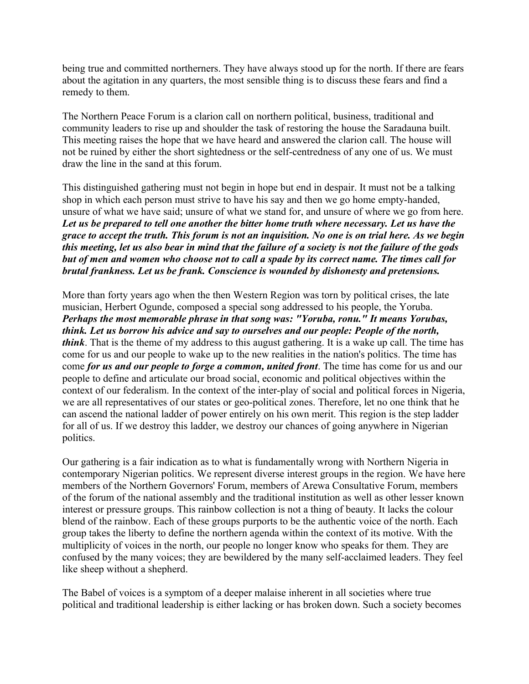being true and committed northerners. They have always stood up for the north. If there are fears about the agitation in any quarters, the most sensible thing is to discuss these fears and find a remedy to them.

The Northern Peace Forum is a clarion call on northern political, business, traditional and community leaders to rise up and shoulder the task of restoring the house the Saradauna built. This meeting raises the hope that we have heard and answered the clarion call. The house will not be ruined by either the short sightedness or the self-centredness of any one of us. We must draw the line in the sand at this forum.

This distinguished gathering must not begin in hope but end in despair. It must not be a talking shop in which each person must strive to have his say and then we go home empty-handed, unsure of what we have said; unsure of what we stand for, and unsure of where we go from here. *Let us be prepared to tell one another the bitter home truth where necessary. Let us have the grace to accept the truth. This forum is not an inquisition. No one is on trial here. As we begin this meeting, let us also bear in mind that the failure of a society is not the failure of the gods but of men and women who choose not to call a spade by its correct name. The times call for brutal frankness. Let us be frank. Conscience is wounded by dishonesty and pretensions.*

More than forty years ago when the then Western Region was torn by political crises, the late musician, Herbert Ogunde, composed a special song addressed to his people, the Yoruba. *Perhaps the most memorable phrase in that song was: "Yoruba, ronu." It means Yorubas, think. Let us borrow his advice and say to ourselves and our people: People of the north, think*. That is the theme of my address to this august gathering. It is a wake up call. The time has come for us and our people to wake up to the new realities in the nation's politics. The time has come *for us and our people to forge a common, united front*. The time has come for us and our people to define and articulate our broad social, economic and political objectives within the context of our federalism. In the context of the inter-play of social and political forces in Nigeria, we are all representatives of our states or geo-political zones. Therefore, let no one think that he can ascend the national ladder of power entirely on his own merit. This region is the step ladder for all of us. If we destroy this ladder, we destroy our chances of going anywhere in Nigerian politics.

Our gathering is a fair indication as to what is fundamentally wrong with Northern Nigeria in contemporary Nigerian politics. We represent diverse interest groups in the region. We have here members of the Northern Governors' Forum, members of Arewa Consultative Forum, members of the forum of the national assembly and the traditional institution as well as other lesser known interest or pressure groups. This rainbow collection is not a thing of beauty. It lacks the colour blend of the rainbow. Each of these groups purports to be the authentic voice of the north. Each group takes the liberty to define the northern agenda within the context of its motive. With the multiplicity of voices in the north, our people no longer know who speaks for them. They are confused by the many voices; they are bewildered by the many self-acclaimed leaders. They feel like sheep without a shepherd.

The Babel of voices is a symptom of a deeper malaise inherent in all societies where true political and traditional leadership is either lacking or has broken down. Such a society becomes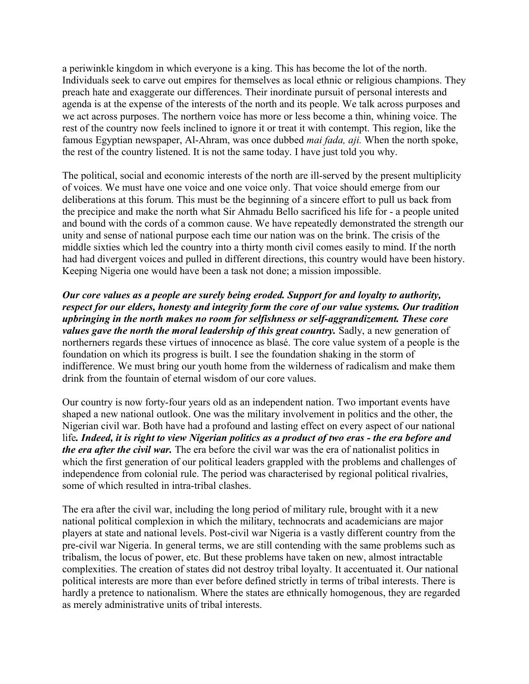a periwinkle kingdom in which everyone is a king. This has become the lot of the north. Individuals seek to carve out empires for themselves as local ethnic or religious champions. They preach hate and exaggerate our differences. Their inordinate pursuit of personal interests and agenda is at the expense of the interests of the north and its people. We talk across purposes and we act across purposes. The northern voice has more or less become a thin, whining voice. The rest of the country now feels inclined to ignore it or treat it with contempt. This region, like the famous Egyptian newspaper, Al-Ahram, was once dubbed *mai fada, aji.* When the north spoke, the rest of the country listened. It is not the same today. I have just told you why.

The political, social and economic interests of the north are ill-served by the present multiplicity of voices. We must have one voice and one voice only. That voice should emerge from our deliberations at this forum. This must be the beginning of a sincere effort to pull us back from the precipice and make the north what Sir Ahmadu Bello sacrificed his life for - a people united and bound with the cords of a common cause. We have repeatedly demonstrated the strength our unity and sense of national purpose each time our nation was on the brink. The crisis of the middle sixties which led the country into a thirty month civil comes easily to mind. If the north had had divergent voices and pulled in different directions, this country would have been history. Keeping Nigeria one would have been a task not done; a mission impossible.

*Our core values as a people are surely being eroded. Support for and loyalty to authority, respect for our elders, honesty and integrity form the core of our value systems. Our tradition upbringing in the north makes no room for selfishness or self-aggrandizement. These core values gave the north the moral leadership of this great country.* Sadly, a new generation of northerners regards these virtues of innocence as blasé. The core value system of a people is the foundation on which its progress is built. I see the foundation shaking in the storm of indifference. We must bring our youth home from the wilderness of radicalism and make them drink from the fountain of eternal wisdom of our core values.

Our country is now forty-four years old as an independent nation. Two important events have shaped a new national outlook. One was the military involvement in politics and the other, the Nigerian civil war. Both have had a profound and lasting effect on every aspect of our national life*. Indeed, it is right to view Nigerian politics as a product of two eras - the era before and the era after the civil war.* The era before the civil war was the era of nationalist politics in which the first generation of our political leaders grappled with the problems and challenges of independence from colonial rule. The period was characterised by regional political rivalries, some of which resulted in intra-tribal clashes.

The era after the civil war, including the long period of military rule, brought with it a new national political complexion in which the military, technocrats and academicians are major players at state and national levels. Post-civil war Nigeria is a vastly different country from the pre-civil war Nigeria. In general terms, we are still contending with the same problems such as tribalism, the locus of power, etc. But these problems have taken on new, almost intractable complexities. The creation of states did not destroy tribal loyalty. It accentuated it. Our national political interests are more than ever before defined strictly in terms of tribal interests. There is hardly a pretence to nationalism. Where the states are ethnically homogenous, they are regarded as merely administrative units of tribal interests.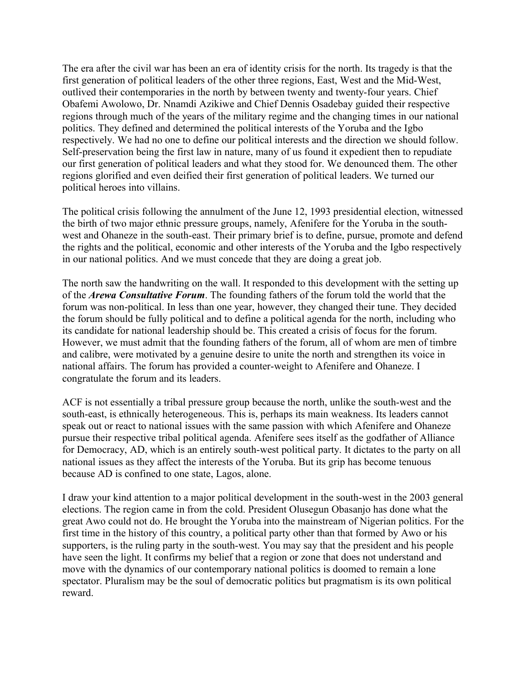The era after the civil war has been an era of identity crisis for the north. Its tragedy is that the first generation of political leaders of the other three regions, East, West and the Mid-West, outlived their contemporaries in the north by between twenty and twenty-four years. Chief Obafemi Awolowo, Dr. Nnamdi Azikiwe and Chief Dennis Osadebay guided their respective regions through much of the years of the military regime and the changing times in our national politics. They defined and determined the political interests of the Yoruba and the Igbo respectively. We had no one to define our political interests and the direction we should follow. Self-preservation being the first law in nature, many of us found it expedient then to repudiate our first generation of political leaders and what they stood for. We denounced them. The other regions glorified and even deified their first generation of political leaders. We turned our political heroes into villains.

The political crisis following the annulment of the June 12, 1993 presidential election, witnessed the birth of two major ethnic pressure groups, namely, Afenifere for the Yoruba in the southwest and Ohaneze in the south-east. Their primary brief is to define, pursue, promote and defend the rights and the political, economic and other interests of the Yoruba and the Igbo respectively in our national politics. And we must concede that they are doing a great job.

The north saw the handwriting on the wall. It responded to this development with the setting up of the *Arewa Consultative Forum*. The founding fathers of the forum told the world that the forum was non-political. In less than one year, however, they changed their tune. They decided the forum should be fully political and to define a political agenda for the north, including who its candidate for national leadership should be. This created a crisis of focus for the forum. However, we must admit that the founding fathers of the forum, all of whom are men of timbre and calibre, were motivated by a genuine desire to unite the north and strengthen its voice in national affairs. The forum has provided a counter-weight to Afenifere and Ohaneze. I congratulate the forum and its leaders.

ACF is not essentially a tribal pressure group because the north, unlike the south-west and the south-east, is ethnically heterogeneous. This is, perhaps its main weakness. Its leaders cannot speak out or react to national issues with the same passion with which Afenifere and Ohaneze pursue their respective tribal political agenda. Afenifere sees itself as the godfather of Alliance for Democracy, AD, which is an entirely south-west political party. It dictates to the party on all national issues as they affect the interests of the Yoruba. But its grip has become tenuous because AD is confined to one state, Lagos, alone.

I draw your kind attention to a major political development in the south-west in the 2003 general elections. The region came in from the cold. President Olusegun Obasanjo has done what the great Awo could not do. He brought the Yoruba into the mainstream of Nigerian politics. For the first time in the history of this country, a political party other than that formed by Awo or his supporters, is the ruling party in the south-west. You may say that the president and his people have seen the light. It confirms my belief that a region or zone that does not understand and move with the dynamics of our contemporary national politics is doomed to remain a lone spectator. Pluralism may be the soul of democratic politics but pragmatism is its own political reward.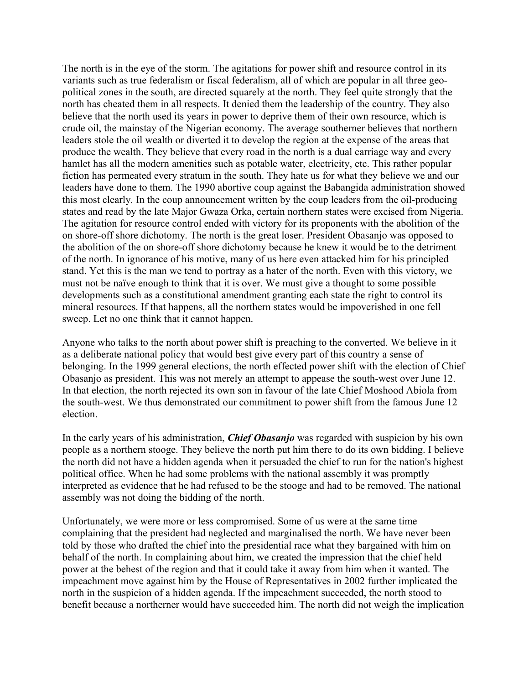The north is in the eye of the storm. The agitations for power shift and resource control in its variants such as true federalism or fiscal federalism, all of which are popular in all three geopolitical zones in the south, are directed squarely at the north. They feel quite strongly that the north has cheated them in all respects. It denied them the leadership of the country. They also believe that the north used its years in power to deprive them of their own resource, which is crude oil, the mainstay of the Nigerian economy. The average southerner believes that northern leaders stole the oil wealth or diverted it to develop the region at the expense of the areas that produce the wealth. They believe that every road in the north is a dual carriage way and every hamlet has all the modern amenities such as potable water, electricity, etc. This rather popular fiction has permeated every stratum in the south. They hate us for what they believe we and our leaders have done to them. The 1990 abortive coup against the Babangida administration showed this most clearly. In the coup announcement written by the coup leaders from the oil-producing states and read by the late Major Gwaza Orka, certain northern states were excised from Nigeria. The agitation for resource control ended with victory for its proponents with the abolition of the on shore-off shore dichotomy. The north is the great loser. President Obasanjo was opposed to the abolition of the on shore-off shore dichotomy because he knew it would be to the detriment of the north. In ignorance of his motive, many of us here even attacked him for his principled stand. Yet this is the man we tend to portray as a hater of the north. Even with this victory, we must not be naïve enough to think that it is over. We must give a thought to some possible developments such as a constitutional amendment granting each state the right to control its mineral resources. If that happens, all the northern states would be impoverished in one fell sweep. Let no one think that it cannot happen.

Anyone who talks to the north about power shift is preaching to the converted. We believe in it as a deliberate national policy that would best give every part of this country a sense of belonging. In the 1999 general elections, the north effected power shift with the election of Chief Obasanjo as president. This was not merely an attempt to appease the south-west over June 12. In that election, the north rejected its own son in favour of the late Chief Moshood Abiola from the south-west. We thus demonstrated our commitment to power shift from the famous June 12 election.

In the early years of his administration, *Chief Obasanjo* was regarded with suspicion by his own people as a northern stooge. They believe the north put him there to do its own bidding. I believe the north did not have a hidden agenda when it persuaded the chief to run for the nation's highest political office. When he had some problems with the national assembly it was promptly interpreted as evidence that he had refused to be the stooge and had to be removed. The national assembly was not doing the bidding of the north.

Unfortunately, we were more or less compromised. Some of us were at the same time complaining that the president had neglected and marginalised the north. We have never been told by those who drafted the chief into the presidential race what they bargained with him on behalf of the north. In complaining about him, we created the impression that the chief held power at the behest of the region and that it could take it away from him when it wanted. The impeachment move against him by the House of Representatives in 2002 further implicated the north in the suspicion of a hidden agenda. If the impeachment succeeded, the north stood to benefit because a northerner would have succeeded him. The north did not weigh the implication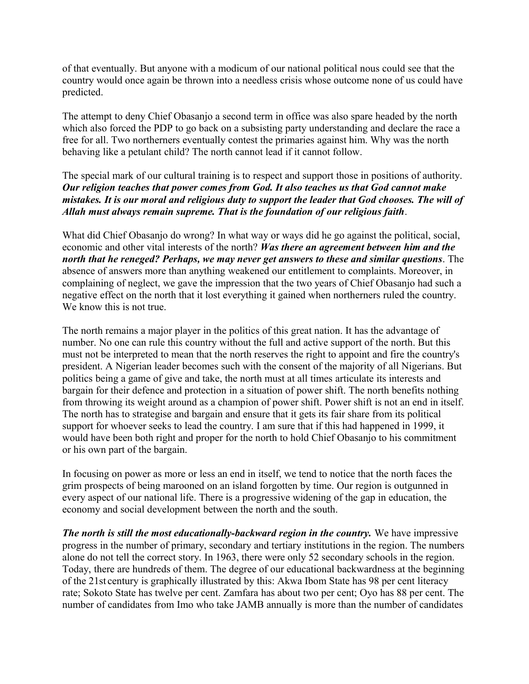of that eventually. But anyone with a modicum of our national political nous could see that the country would once again be thrown into a needless crisis whose outcome none of us could have predicted.

The attempt to deny Chief Obasanjo a second term in office was also spare headed by the north which also forced the PDP to go back on a subsisting party understanding and declare the race a free for all. Two northerners eventually contest the primaries against him. Why was the north behaving like a petulant child? The north cannot lead if it cannot follow.

## The special mark of our cultural training is to respect and support those in positions of authority. *Our religion teaches that power comes from God. It also teaches us that God cannot make mistakes. It is our moral and religious duty to support the leader that God chooses. The will of Allah must always remain supreme. That is the foundation of our religious faith*.

What did Chief Obasanjo do wrong? In what way or ways did he go against the political, social, economic and other vital interests of the north? *Was there an agreement between him and the north that he reneged? Perhaps, we may never get answers to these and similar questions*. The absence of answers more than anything weakened our entitlement to complaints. Moreover, in complaining of neglect, we gave the impression that the two years of Chief Obasanjo had such a negative effect on the north that it lost everything it gained when northerners ruled the country. We know this is not true.

The north remains a major player in the politics of this great nation. It has the advantage of number. No one can rule this country without the full and active support of the north. But this must not be interpreted to mean that the north reserves the right to appoint and fire the country's president. A Nigerian leader becomes such with the consent of the majority of all Nigerians. But politics being a game of give and take, the north must at all times articulate its interests and bargain for their defence and protection in a situation of power shift. The north benefits nothing from throwing its weight around as a champion of power shift. Power shift is not an end in itself. The north has to strategise and bargain and ensure that it gets its fair share from its political support for whoever seeks to lead the country. I am sure that if this had happened in 1999, it would have been both right and proper for the north to hold Chief Obasanjo to his commitment or his own part of the bargain.

In focusing on power as more or less an end in itself, we tend to notice that the north faces the grim prospects of being marooned on an island forgotten by time. Our region is outgunned in every aspect of our national life. There is a progressive widening of the gap in education, the economy and social development between the north and the south.

*The north is still the most educationally-backward region in the country.* We have impressive progress in the number of primary, secondary and tertiary institutions in the region. The numbers alone do not tell the correct story. In 1963, there were only 52 secondary schools in the region. Today, there are hundreds of them. The degree of our educational backwardness at the beginning of the 21st century is graphically illustrated by this: Akwa Ibom State has 98 per cent literacy rate; Sokoto State has twelve per cent. Zamfara has about two per cent; Oyo has 88 per cent. The number of candidates from Imo who take JAMB annually is more than the number of candidates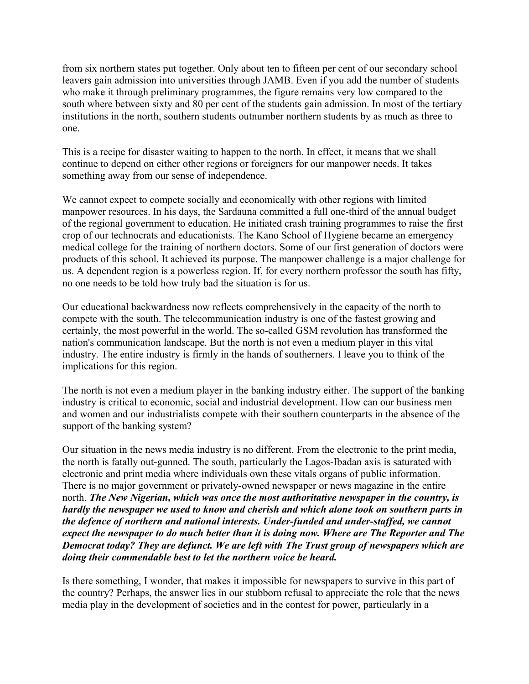from six northern states put together. Only about ten to fifteen per cent of our secondary school leavers gain admission into universities through JAMB. Even if you add the number of students who make it through preliminary programmes, the figure remains very low compared to the south where between sixty and 80 per cent of the students gain admission. In most of the tertiary institutions in the north, southern students outnumber northern students by as much as three to one.

This is a recipe for disaster waiting to happen to the north. In effect, it means that we shall continue to depend on either other regions or foreigners for our manpower needs. It takes something away from our sense of independence.

We cannot expect to compete socially and economically with other regions with limited manpower resources. In his days, the Sardauna committed a full one-third of the annual budget of the regional government to education. He initiated crash training programmes to raise the first crop of our technocrats and educationists. The Kano School of Hygiene became an emergency medical college for the training of northern doctors. Some of our first generation of doctors were products of this school. It achieved its purpose. The manpower challenge is a major challenge for us. A dependent region is a powerless region. If, for every northern professor the south has fifty, no one needs to be told how truly bad the situation is for us.

Our educational backwardness now reflects comprehensively in the capacity of the north to compete with the south. The telecommunication industry is one of the fastest growing and certainly, the most powerful in the world. The so-called GSM revolution has transformed the nation's communication landscape. But the north is not even a medium player in this vital industry. The entire industry is firmly in the hands of southerners. I leave you to think of the implications for this region.

The north is not even a medium player in the banking industry either. The support of the banking industry is critical to economic, social and industrial development. How can our business men and women and our industrialists compete with their southern counterparts in the absence of the support of the banking system?

Our situation in the news media industry is no different. From the electronic to the print media, the north is fatally out-gunned. The south, particularly the Lagos-Ibadan axis is saturated with electronic and print media where individuals own these vitals organs of public information. There is no major government or privately-owned newspaper or news magazine in the entire north. *The New Nigerian, which was once the most authoritative newspaper in the country, is hardly the newspaper we used to know and cherish and which alone took on southern parts in the defence of northern and national interests. Under-funded and under-staffed, we cannot expect the newspaper to do much better than it is doing now. Where are The Reporter and The Democrat today? They are defunct. We are left with The Trust group of newspapers which are doing their commendable best to let the northern voice be heard.*

Is there something, I wonder, that makes it impossible for newspapers to survive in this part of the country? Perhaps, the answer lies in our stubborn refusal to appreciate the role that the news media play in the development of societies and in the contest for power, particularly in a